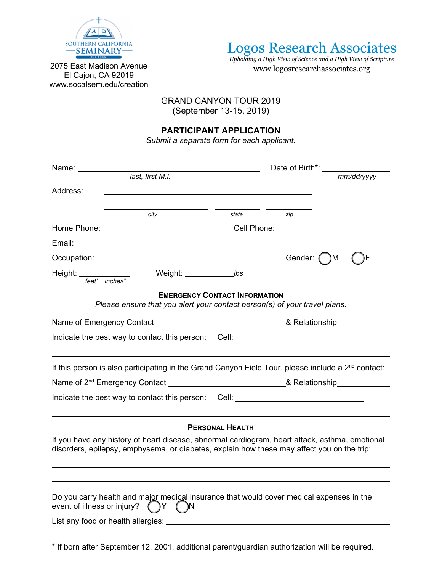

Logos Research Associates

*Upholding a High View of Science and a High View of Scripture*  www.logosresearchassociates.org

2075 East Madison Avenue El Cajon, CA 92019 www.socalsem.edu/creation

## GRAND CANYON TOUR 2019 (September 13-15, 2019)

## **PARTICIPANT APPLICATION**

*Submit a separate form for each applicant.* 

| Name: <b>Name</b>                                                                                                                                                                                                                        |                                                                                                                                                                                                                                |                                            | Date of Birth*: ________ |            |  |  |
|------------------------------------------------------------------------------------------------------------------------------------------------------------------------------------------------------------------------------------------|--------------------------------------------------------------------------------------------------------------------------------------------------------------------------------------------------------------------------------|--------------------------------------------|--------------------------|------------|--|--|
|                                                                                                                                                                                                                                          | last, first M.I.                                                                                                                                                                                                               |                                            |                          | mm/dd/yyyy |  |  |
| Address:                                                                                                                                                                                                                                 |                                                                                                                                                                                                                                |                                            |                          |            |  |  |
|                                                                                                                                                                                                                                          |                                                                                                                                                                                                                                |                                            |                          |            |  |  |
|                                                                                                                                                                                                                                          | City                                                                                                                                                                                                                           | state                                      | zip                      |            |  |  |
|                                                                                                                                                                                                                                          |                                                                                                                                                                                                                                | <b>Cell Phone: Cell Phone: Cell Phone:</b> |                          |            |  |  |
|                                                                                                                                                                                                                                          |                                                                                                                                                                                                                                |                                            |                          |            |  |  |
|                                                                                                                                                                                                                                          | Occupation: University of the Community of the Community of the Community of the Community of the Community of the Community of the Community of the Community of the Community of the Community of the Community of the Commu |                                            | Gender: ()M              |            |  |  |
| Height: <b>France Accord Finance Accord Finance Accord Finance Accord Finance Accord Finance Accord Finance Accord Finance Accord Field<br/>Finance Accord Field Finance Accord Field Field Field Field Field Field Field Field Fiel</b> |                                                                                                                                                                                                                                |                                            |                          |            |  |  |
| <b>EMERGENCY CONTACT INFORMATION</b><br>Please ensure that you alert your contact person(s) of your travel plans.                                                                                                                        |                                                                                                                                                                                                                                |                                            |                          |            |  |  |
|                                                                                                                                                                                                                                          |                                                                                                                                                                                                                                |                                            |                          |            |  |  |
| Indicate the best way to contact this person: Cell: ____________________________                                                                                                                                                         |                                                                                                                                                                                                                                |                                            |                          |            |  |  |
| If this person is also participating in the Grand Canyon Field Tour, please include a 2 <sup>nd</sup> contact:                                                                                                                           |                                                                                                                                                                                                                                |                                            |                          |            |  |  |
|                                                                                                                                                                                                                                          |                                                                                                                                                                                                                                |                                            |                          |            |  |  |
| Indicate the best way to contact this person: Cell: ____________________________                                                                                                                                                         |                                                                                                                                                                                                                                |                                            |                          |            |  |  |
| <b>PERSONAL HEALTH</b><br>If you have any history of heart disease, abnormal cardiogram, heart attack, asthma, emotional<br>disorders, epilepsy, emphysema, or diabetes, explain how these may affect you on the trip:                   |                                                                                                                                                                                                                                |                                            |                          |            |  |  |
|                                                                                                                                                                                                                                          |                                                                                                                                                                                                                                |                                            |                          |            |  |  |
| event of illness or injury?                                                                                                                                                                                                              | Do you carry health and major medical insurance that would cover medical expenses in the<br>( ) Y -<br>( )N                                                                                                                    |                                            |                          |            |  |  |
|                                                                                                                                                                                                                                          |                                                                                                                                                                                                                                |                                            |                          |            |  |  |

\* If born after September 12, 2001, additional parent/guardian authorization will be required.